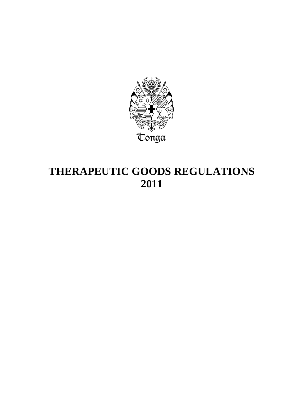

# **THERAPEUTIC GOODS REGULATIONS 2011**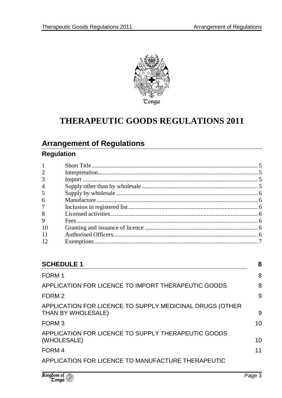

## **THERAPEUTIC GOODS REGULATIONS 2011**

## **Arrangement of Regulations**

## **Regulation**

| $\mathbf{1}$   |  |
|----------------|--|
| $\overline{2}$ |  |
| 3              |  |
| $\overline{4}$ |  |
| 5              |  |
| 6              |  |
| $\overline{7}$ |  |
| 8              |  |
| 9              |  |
| 10             |  |
| 11             |  |
|                |  |

| 8  |
|----|
| 8  |
| 8  |
| 9  |
| 9  |
| 10 |
| 10 |
| 11 |
|    |
|    |

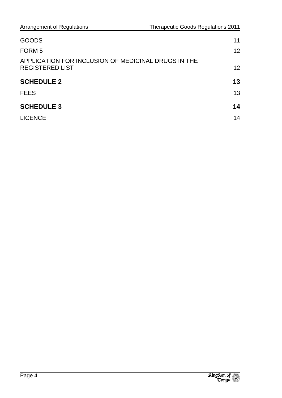| GOODS                                                                         | 11                |
|-------------------------------------------------------------------------------|-------------------|
| FORM 5                                                                        | 12                |
| APPLICATION FOR INCLUSION OF MEDICINAL DRUGS IN THE<br><b>REGISTERED LIST</b> | $12 \overline{ }$ |
| <b>SCHEDULE 2</b>                                                             | 13                |
| <b>FEES</b>                                                                   | 13                |
| <b>SCHEDULE 3</b>                                                             | 14                |
| <b>LICENCE</b>                                                                | 14                |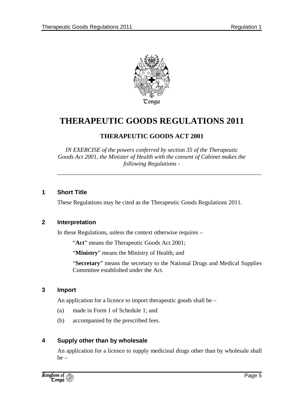

## **THERAPEUTIC GOODS REGULATIONS 2011**

## **THERAPEUTIC GOODS ACT 2001**

*IN EXERCISE of the powers conferred by section 35 of the Therapeutic Goods Act 2001, the Minister of Health with the consent of Cabinet makes the following Regulations -* 

*\_\_\_\_\_\_\_\_\_\_\_\_\_\_\_\_\_\_\_\_\_\_\_\_\_\_\_\_\_\_\_\_\_\_\_\_\_\_\_\_\_\_\_\_\_\_\_\_\_\_\_\_\_\_\_\_\_\_\_\_\_\_\_\_\_\_\_\_* 

#### **1 Short Title**

These Regulations may be cited as the Therapeutic Goods Regulations 2011.

#### **2 Interpretation**

In these Regulations, unless the context otherwise requires –

"**Act**" means the Therapeutic Goods Act 2001;

"**Ministry**" means the Ministry of Health; and

"**Secretary**" means the secretary to the National Drugs and Medical Supplies Committee established under the Act.

#### **3 Import**

An application for a licence to import therapeutic goods shall be –

- (a) made in Form 1 of Schedule 1; and
- (b) accompanied by the prescribed fees.

#### **4 Supply other than by wholesale**

An application for a licence to supply medicinal drugs other than by wholesale shall  $be -$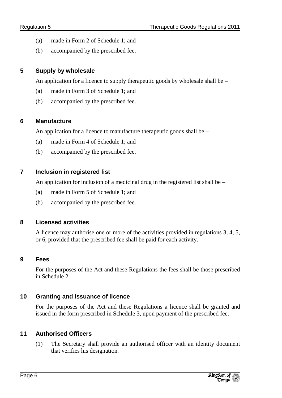- (a) made in Form 2 of Schedule 1; and
- (b) accompanied by the prescribed fee.

## **5 Supply by wholesale**

An application for a licence to supply therapeutic goods by wholesale shall be –

- (a) made in Form 3 of Schedule 1; and
- (b) accompanied by the prescribed fee.

## **6 Manufacture**

An application for a licence to manufacture therapeutic goods shall be –

- (a) made in Form 4 of Schedule 1; and
- (b) accompanied by the prescribed fee.

## **7 Inclusion in registered list**

An application for inclusion of a medicinal drug in the registered list shall be –

- (a) made in Form 5 of Schedule 1; and
- (b) accompanied by the prescribed fee.

## **8 Licensed activities**

A licence may authorise one or more of the activities provided in regulations 3, 4, 5, or 6, provided that the prescribed fee shall be paid for each activity.

## **9 Fees**

For the purposes of the Act and these Regulations the fees shall be those prescribed in Schedule 2.

## **10 Granting and issuance of licence**

For the purposes of the Act and these Regulations a licence shall be granted and issued in the form prescribed in Schedule 3, upon payment of the prescribed fee.

## **11 Authorised Officers**

(1) The Secretary shall provide an authorised officer with an identity document that verifies his designation.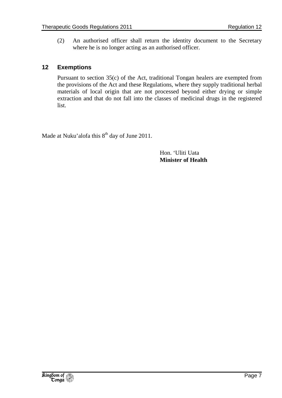(2) An authorised officer shall return the identity document to the Secretary where he is no longer acting as an authorised officer.

#### **12 Exemptions**

Pursuant to section 35(c) of the Act, traditional Tongan healers are exempted from the provisions of the Act and these Regulations, where they supply traditional herbal materials of local origin that are not processed beyond either drying or simple extraction and that do not fall into the classes of medicinal drugs in the registered list.

Made at Nuku'alofa this  $8<sup>th</sup>$  day of June 2011.

 Hon. 'Uliti Uata  **Minister of Health**

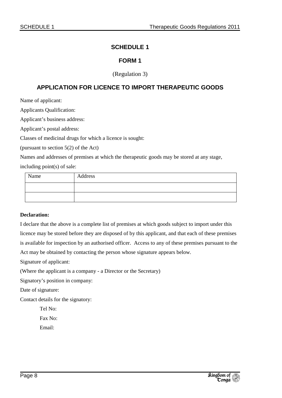#### **SCHEDULE 1**

#### **FORM 1**

#### (Regulation 3)

#### **APPLICATION FOR LICENCE TO IMPORT THERAPEUTIC GOODS**

Name of applicant:

Applicants Qualification:

Applicant's business address:

Applicant's postal address:

Classes of medicinal drugs for which a licence is sought:

(pursuant to section 5(2) of the Act)

Names and addresses of premises at which the therapeutic goods may be stored at any stage,

including point(s) of sale:

| Name | Address |
|------|---------|
|      |         |
|      |         |

#### **Declaration:**

I declare that the above is a complete list of premises at which goods subject to import under this licence may be stored before they are disposed of by this applicant, and that each of these premises is available for inspection by an authorised officer. Access to any of these premises pursuant to the Act may be obtained by contacting the person whose signature appears below.

Signature of applicant:

(Where the applicant is a company - a Director or the Secretary)

Signatory's position in company:

Date of signature:

Contact details for the signatory:

Tel No:

Fax No:

Email:

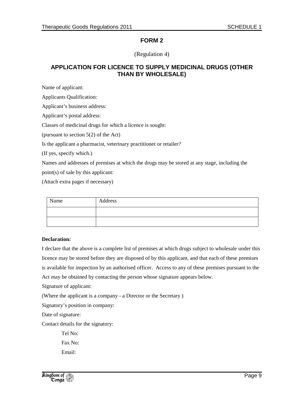(Regulation 4)

#### **APPLICATION FOR LICENCE TO SUPPLY MEDICINAL DRUGS (OTHER THAN BY WHOLESALE)**

Name of applicant:

Applicants Qualification:

Applicant's business address:

Applicant's postal address:

Classes of medicinal drugs for which a licence is sought:

(pursuant to section 5(2) of the Act)

Is the applicant a pharmacist, veterinary practitioner or retailer?

(If yes, specify which.)

Names and addresses of premises at which the drugs may be stored at any stage, including the point(s) of sale by this applicant:

(Attach extra pages if necessary)

| Name | Address |
|------|---------|
|      |         |
|      |         |

#### **Declaration:**

I declare that the above is a complete list of premises at which drugs subject to wholesale under this licence may be stored before they are disposed of by this applicant, and that each of these premises is available for inspection by an authorised officer. Access to any of these premises pursuant to the Act may be obtained by contacting the person whose signature appears below.

Signature of applicant:

(Where the applicant is a company - a Director or the Secretary )

Signatory's position in company:

Date of signature:

Contact details for the signatory:

Tel No: Fax No: Email:

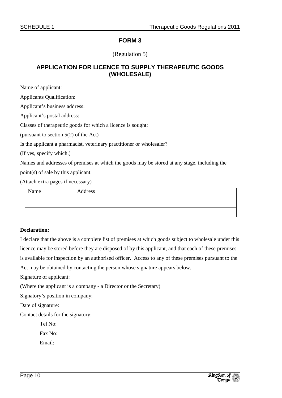#### (Regulation 5)

#### **APPLICATION FOR LICENCE TO SUPPLY THERAPEUTIC GOODS (WHOLESALE)**

Name of applicant:

Applicants Qualification:

Applicant's business address:

Applicant's postal address:

Classes of therapeutic goods for which a licence is sought:

(pursuant to section 5(2) of the Act)

Is the applicant a pharmacist, veterinary practitioner or wholesaler?

(If yes, specify which.)

Names and addresses of premises at which the goods may be stored at any stage, including the

point(s) of sale by this applicant:

(Attach extra pages if necessary)

| Name | Address |
|------|---------|
|      |         |
|      |         |

#### **Declaration:**

I declare that the above is a complete list of premises at which goods subject to wholesale under this licence may be stored before they are disposed of by this applicant, and that each of these premises is available for inspection by an authorised officer. Access to any of these premises pursuant to the Act may be obtained by contacting the person whose signature appears below.

Signature of applicant:

(Where the applicant is a company - a Director or the Secretary)

Signatory's position in company:

Date of signature:

Contact details for the signatory:

Tel No:

Fax No:

Email: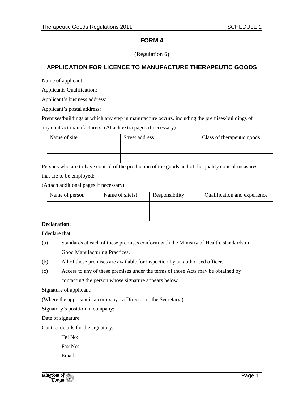(Regulation 6)

### **APPLICATION FOR LICENCE TO MANUFACTURE THERAPEUTIC GOODS**

Name of applicant:

Applicants Qualification:

Applicant's business address:

Applicant's postal address:

Premises/buildings at which any step in manufacture occurs, including the premises/buildings of

any contract manufacturers: (Attach extra pages if necessary)

| Name of site | Street address | Class of the rapeutic goods |  |
|--------------|----------------|-----------------------------|--|
|              |                |                             |  |
|              |                |                             |  |

Persons who are to have control of the production of the goods and of the quality control measures that are to be employed:

(Attach additional pages if necessary)

| Name of person | Name of $site(s)$ | Responsibility | Qualification and experience |
|----------------|-------------------|----------------|------------------------------|
|                |                   |                |                              |
|                |                   |                |                              |

#### **Declaration:**

I declare that:

- (a) Standards at each of these premises conform with the Ministry of Health, standards in Good Manufacturing Practices.
- (b) All of these premises are available for inspection by an authorised officer.
- (c) Access to any of these premises under the terms of those Acts may be obtained by contacting the person whose signature appears below.

Signature of applicant:

(Where the applicant is a company - a Director or the Secretary )

Signatory's position in company:

Date of signature:

Contact details for the signatory:

Tel No:

Fax No:

Email:

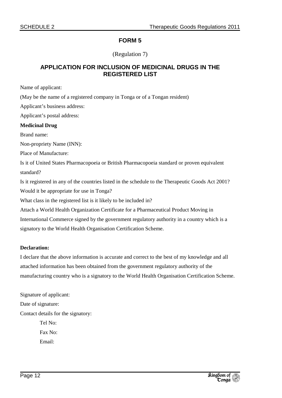#### (Regulation 7)

#### **APPLICATION FOR INCLUSION OF MEDICINAL DRUGS IN THE REGISTERED LIST**

Name of applicant:

(May be the name of a registered company in Tonga or of a Tongan resident)

Applicant's business address:

Applicant's postal address:

#### **Medicinal Drug**

Brand name:

Non-propriety Name (INN):

Place of Manufacture:

Is it of United States Pharmacopoeia or British Pharmacopoeia standard or proven equivalent standard?

Is it registered in any of the countries listed in the schedule to the Therapeutic Goods Act 2001? Would it be appropriate for use in Tonga?

What class in the registered list is it likely to be included in?

Attach a World Health Organization Certificate for a Pharmaceutical Product Moving in International Commerce signed by the government regulatory authority in a country which is a signatory to the World Health Organisation Certification Scheme.

#### **Declaration:**

I declare that the above information is accurate and correct to the best of my knowledge and all attached information has been obtained from the government regulatory authority of the manufacturing country who is a signatory to the World Health Organisation Certification Scheme.

Signature of applicant: Date of signature: Contact details for the signatory: Tel No:

> Fax No: Email: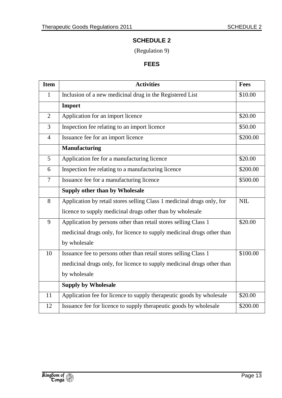## **SCHEDULE 2**

(Regulation 9)

## **FEES**

| <b>Item</b>    | <b>Activities</b>                                                      | <b>Fees</b> |
|----------------|------------------------------------------------------------------------|-------------|
| $\mathbf{1}$   | Inclusion of a new medicinal drug in the Registered List               | \$10.00     |
|                | Import                                                                 |             |
| $\overline{2}$ | Application for an import licence                                      | \$20.00     |
| 3              | Inspection fee relating to an import licence                           | \$50.00     |
| $\overline{4}$ | Issuance fee for an import licence                                     | \$200.00    |
|                | Manufacturing                                                          |             |
| 5              | Application fee for a manufacturing licence                            | \$20.00     |
| 6              | Inspection fee relating to a manufacturing licence                     | \$200.00    |
| $\overline{7}$ | Issuance fee for a manufacturing licence                               | \$500.00    |
|                | Supply other than by Wholesale                                         |             |
| 8              | Application by retail stores selling Class 1 medicinal drugs only, for | NIL         |
|                | licence to supply medicinal drugs other than by wholesale              |             |
| 9              | Application by persons other than retail stores selling Class 1        | \$20.00     |
|                | medicinal drugs only, for licence to supply medicinal drugs other than |             |
|                | by wholesale                                                           |             |
| 10             | Issuance fee to persons other than retail stores selling Class 1       | \$100.00    |
|                | medicinal drugs only, for licence to supply medicinal drugs other than |             |
|                | by wholesale                                                           |             |
|                | <b>Supply by Wholesale</b>                                             |             |
| 11             | Application fee for licence to supply therapeutic goods by wholesale   | \$20.00     |
| 12             | Issuance fee for licence to supply therapeutic goods by wholesale      | \$200.00    |